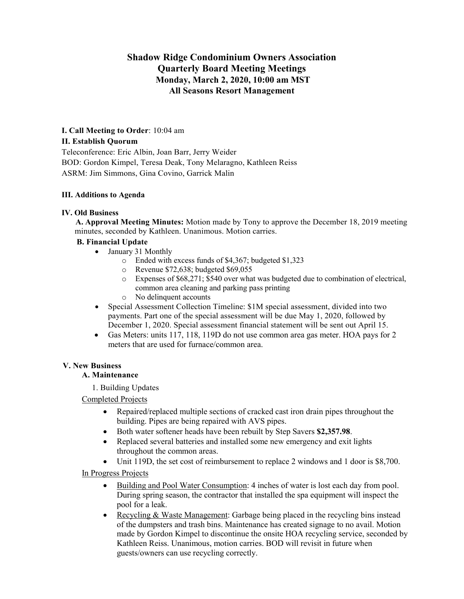# **Shadow Ridge Condominium Owners Association Quarterly Board Meeting Meetings Monday, March 2, 2020, 10:00 am MST All Seasons Resort Management**

# **I. Call Meeting to Order**: 10:04 am

#### **II. Establish Quorum**

Teleconference: Eric Albin, Joan Barr, Jerry Weider BOD: Gordon Kimpel, Teresa Deak, Tony Melaragno, Kathleen Reiss ASRM: Jim Simmons, Gina Covino, Garrick Malin

## **III. Additions to Agenda**

## **IV. Old Business**

**A. Approval Meeting Minutes:** Motion made by Tony to approve the December 18, 2019 meeting minutes, seconded by Kathleen. Unanimous. Motion carries.

## **B. Financial Update**

- January 31 Monthly
	- o Ended with excess funds of \$4,367; budgeted \$1,323
	- o Revenue \$72,638; budgeted \$69,055
	- o Expenses of \$68,271; \$540 over what was budgeted due to combination of electrical, common area cleaning and parking pass printing
	- o No delinquent accounts
- Special Assessment Collection Timeline: \$1M special assessment, divided into two payments. Part one of the special assessment will be due May 1, 2020, followed by December 1, 2020. Special assessment financial statement will be sent out April 15.
- Gas Meters: units 117, 118, 119D do not use common area gas meter. HOA pays for 2 meters that are used for furnace/common area.

# **V. New Business**

# **A. Maintenance**

1. Building Updates

#### Completed Projects

- Repaired/replaced multiple sections of cracked cast iron drain pipes throughout the building. Pipes are being repaired with AVS pipes.
- Both water softener heads have been rebuilt by Step Savers **\$2,357.98**.
- Replaced several batteries and installed some new emergency and exit lights throughout the common areas.
- Unit 119D, the set cost of reimbursement to replace 2 windows and 1 door is \$8,700.

## In Progress Projects

- Building and Pool Water Consumption: 4 inches of water is lost each day from pool. During spring season, the contractor that installed the spa equipment will inspect the pool for a leak.
- Recycling & Waste Management: Garbage being placed in the recycling bins instead of the dumpsters and trash bins. Maintenance has created signage to no avail. Motion made by Gordon Kimpel to discontinue the onsite HOA recycling service, seconded by Kathleen Reiss. Unanimous, motion carries. BOD will revisit in future when guests/owners can use recycling correctly.